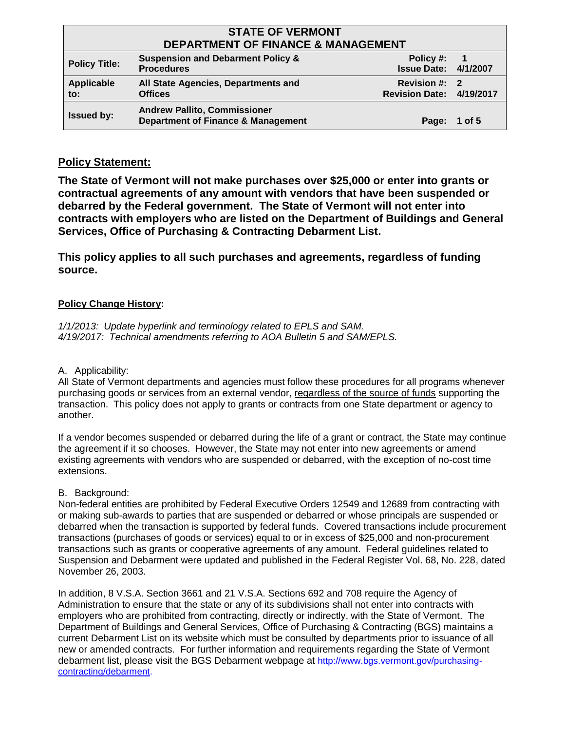| <b>STATE OF VERMONT</b>                       |                                                                                      |                                           |        |
|-----------------------------------------------|--------------------------------------------------------------------------------------|-------------------------------------------|--------|
| <b>DEPARTMENT OF FINANCE &amp; MANAGEMENT</b> |                                                                                      |                                           |        |
| <b>Policy Title:</b>                          | <b>Suspension and Debarment Policy &amp;</b><br><b>Procedures</b>                    | Policy #:<br><b>Issue Date: 4/1/2007</b>  | - 1    |
| Applicable<br>to:                             | All State Agencies, Departments and<br><b>Offices</b>                                | Revision #: 2<br>Revision Date: 4/19/2017 |        |
| <b>Issued by:</b>                             | <b>Andrew Pallito, Commissioner</b><br><b>Department of Finance &amp; Management</b> | Page:                                     | 1 of 5 |

## **Policy Statement:**

**The State of Vermont will not make purchases over \$25,000 or enter into grants or contractual agreements of any amount with vendors that have been suspended or debarred by the Federal government. The State of Vermont will not enter into contracts with employers who are listed on the Department of Buildings and General Services, Office of Purchasing & Contracting Debarment List.**

**This policy applies to all such purchases and agreements, regardless of funding source.**

## **Policy Change History:**

*1/1/2013: Update hyperlink and terminology related to EPLS and SAM. 4/19/2017: Technical amendments referring to AOA Bulletin 5 and SAM/EPLS.*

A. Applicability:

All State of Vermont departments and agencies must follow these procedures for all programs whenever purchasing goods or services from an external vendor, regardless of the source of funds supporting the transaction. This policy does not apply to grants or contracts from one State department or agency to another.

If a vendor becomes suspended or debarred during the life of a grant or contract, the State may continue the agreement if it so chooses. However, the State may not enter into new agreements or amend existing agreements with vendors who are suspended or debarred, with the exception of no-cost time extensions.

### B. Background:

Non-federal entities are prohibited by Federal Executive Orders 12549 and 12689 from contracting with or making sub-awards to parties that are suspended or debarred or whose principals are suspended or debarred when the transaction is supported by federal funds. Covered transactions include procurement transactions (purchases of goods or services) equal to or in excess of \$25,000 and non-procurement transactions such as grants or cooperative agreements of any amount. Federal guidelines related to Suspension and Debarment were updated and published in the Federal Register Vol. 68, No. 228, dated November 26, 2003.

In addition, 8 V.S.A. Section 3661 and 21 V.S.A. Sections 692 and 708 require the Agency of Administration to ensure that the state or any of its subdivisions shall not enter into contracts with employers who are prohibited from contracting, directly or indirectly, with the State of Vermont. The Department of Buildings and General Services, Office of Purchasing & Contracting (BGS) maintains a current Debarment List on its website which must be consulted by departments prior to issuance of all new or amended contracts. For further information and requirements regarding the State of Vermont debarment list, please visit the BGS Debarment webpage at http://www.bgs.vermont.gov/purchasing[contracting/](http://www.bgs.vermont.gov/purchasing-contracting/debarment)debarment.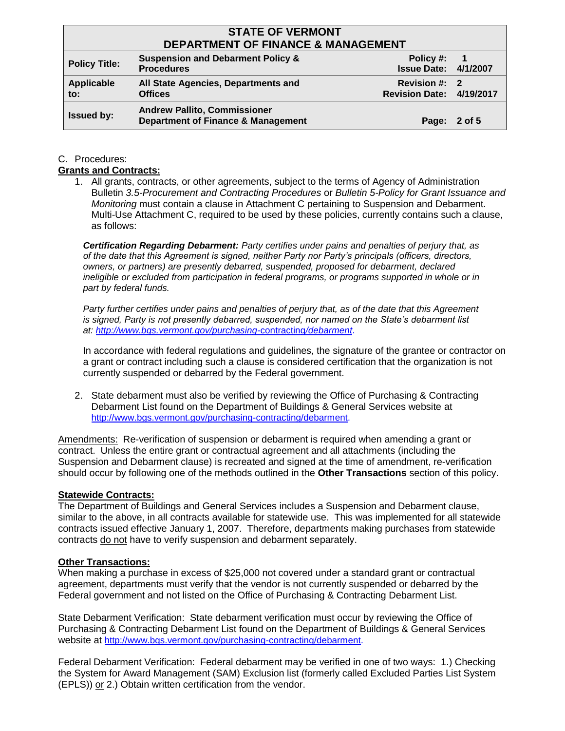## **STATE OF VERMONT DEPARTMENT OF FINANCE & MANAGEMENT**

| DEFARTMENT OF FINANCE & MANAGEMENT |                                                                                      |                                                  |    |
|------------------------------------|--------------------------------------------------------------------------------------|--------------------------------------------------|----|
| <b>Policy Title:</b>               | <b>Suspension and Debarment Policy &amp;</b><br><b>Procedures</b>                    | Policy #:<br><b>Issue Date: 4/1/2007</b>         | -1 |
| Applicable<br>to:                  | All State Agencies, Departments and<br><b>Offices</b>                                | Revision #: 2<br><b>Revision Date: 4/19/2017</b> |    |
| <b>Issued by:</b>                  | <b>Andrew Pallito, Commissioner</b><br><b>Department of Finance &amp; Management</b> | Page: 2 of 5                                     |    |

#### C. Procedures:

#### **Grants and Contracts:**

1. All grants, contracts, or other agreements, subject to the terms of Agency of Administration Bulletin *3.5-Procurement and Contracting Procedures* or *Bulletin 5-Policy for Grant Issuance and Monitoring* must contain a clause in Attachment C pertaining to Suspension and Debarment. Multi-Use Attachment C, required to be used by these policies, currently contains such a clause, as follows:

*Certification Regarding Debarment: Party certifies under pains and penalties of perjury that, as of the date that this Agreement is signed, neither Party nor Party's principals (officers, directors, owners, or partners) are presently debarred, suspended, proposed for debarment, declared ineligible or excluded from participation in federal programs, or programs supported in whole or in part by federal funds.* 

*Party further certifies under pains and penalties of perjury that, as of the date that this Agreement is signed, Party is not presently debarred, suspended, nor named on the State's debarment list at: http://www.bgs.vermont.gov/purchasing-*[contracting](http://www.bgs.vermont.gov/purchasing-contracting/debarment)*/debarment*.

In accordance with federal regulations and guidelines, the signature of the grantee or contractor on a grant or contract including such a clause is considered certification that the organization is not currently suspended or debarred by the Federal government.

2. State debarment must also be verified by reviewing the Office of Purchasing & Contracting Debarment List found on the Department of Buildings & General Services website at http://www.bgs.vermont.gov/purchasing[-contracting/](http://www.bgs.vermont.gov/purchasing-contracting/debarment)debarment.

Amendments: Re-verification of suspension or debarment is required when amending a grant or contract. Unless the entire grant or contractual agreement and all attachments (including the Suspension and Debarment clause) is recreated and signed at the time of amendment, re-verification should occur by following one of the methods outlined in the **Other Transactions** section of this policy.

#### **Statewide Contracts:**

The Department of Buildings and General Services includes a Suspension and Debarment clause, similar to the above, in all contracts available for statewide use. This was implemented for all statewide contracts issued effective January 1, 2007. Therefore, departments making purchases from statewide contracts do not have to verify suspension and debarment separately.

#### **Other Transactions:**

When making a purchase in excess of \$25,000 not covered under a standard grant or contractual agreement, departments must verify that the vendor is not currently suspended or debarred by the Federal government and not listed on the Office of Purchasing & Contracting Debarment List.

State Debarment Verification: State debarment verification must occur by reviewing the Office of Purchasing & Contracting Debarment List found on the Department of Buildings & General Services website at http://www.bgs.vermont.gov/purchasing[-contracting/](http://www.bgs.vermont.gov/purchasing-contracting/debarment)debarment.

Federal Debarment Verification: Federal debarment may be verified in one of two ways: 1.) Checking the System for Award Management (SAM) Exclusion list (formerly called Excluded Parties List System (EPLS)) or 2.) Obtain written certification from the vendor.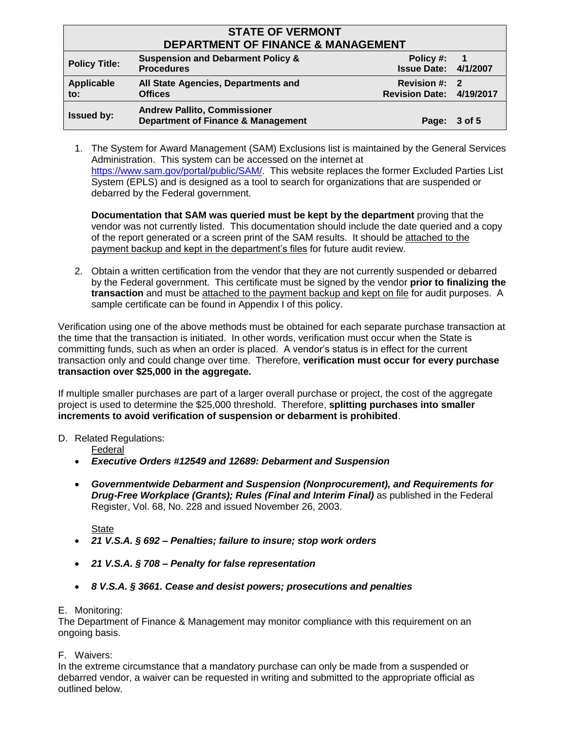| <b>STATE OF VERMONT</b><br><b>DEPARTMENT OF FINANCE &amp; MANAGEMENT</b> |                                                                                      |                                           |        |
|--------------------------------------------------------------------------|--------------------------------------------------------------------------------------|-------------------------------------------|--------|
| <b>Policy Title:</b>                                                     | <b>Suspension and Debarment Policy &amp;</b><br><b>Procedures</b>                    | Policy #:<br><b>Issue Date: 4/1/2007</b>  |        |
| Applicable<br>to:                                                        | All State Agencies, Departments and<br><b>Offices</b>                                | Revision #: 2<br>Revision Date: 4/19/2017 |        |
| <b>Issued by:</b>                                                        | <b>Andrew Pallito, Commissioner</b><br><b>Department of Finance &amp; Management</b> | Page:                                     | 3 of 5 |

1. The System for Award Management (SAM) Exclusions list is maintained by the General Services Administration. This system can be accessed on the internet at [https://www.sam.gov/portal/public/SAM/.](https://www.sam.gov/portal/public/SAM/) This website replaces the former Excluded Parties List System (EPLS) and is designed as a tool to search for organizations that are suspended or debarred by the Federal government.

**Documentation that SAM was queried must be kept by the department** proving that the vendor was not currently listed. This documentation should include the date queried and a copy of the report generated or a screen print of the SAM results. It should be attached to the payment backup and kept in the department's files for future audit review.

2. Obtain a written certification from the vendor that they are not currently suspended or debarred by the Federal government. This certificate must be signed by the vendor **prior to finalizing the transaction** and must be attached to the payment backup and kept on file for audit purposes. A sample certificate can be found in Appendix I of this policy.

Verification using one of the above methods must be obtained for each separate purchase transaction at the time that the transaction is initiated. In other words, verification must occur when the State is committing funds, such as when an order is placed. A vendor's status is in effect for the current transaction only and could change over time. Therefore, **verification must occur for every purchase transaction over \$25,000 in the aggregate.**

If multiple smaller purchases are part of a larger overall purchase or project, the cost of the aggregate project is used to determine the \$25,000 threshold. Therefore, **splitting purchases into smaller increments to avoid verification of suspension or debarment is prohibited**.

#### D. Related Regulations:

Federal

- *Executive Orders #12549 and 12689: Debarment and Suspension*
- *Governmentwide Debarment and Suspension (Nonprocurement), and Requirements for Drug-Free Workplace (Grants); Rules (Final and Interim Final)* as published in the Federal Register, Vol. 68, No. 228 and issued November 26, 2003.

State

- *21 V.S.A. § 692 – Penalties; failure to insure; stop work orders*
- *21 V.S.A. § 708 – Penalty for false representation*
- *8 V.S.A. § 3661. Cease and desist powers; prosecutions and penalties*

#### E. Monitoring:

The Department of Finance & Management may monitor compliance with this requirement on an ongoing basis.

F. Waivers:

In the extreme circumstance that a mandatory purchase can only be made from a suspended or debarred vendor, a waiver can be requested in writing and submitted to the appropriate official as outlined below.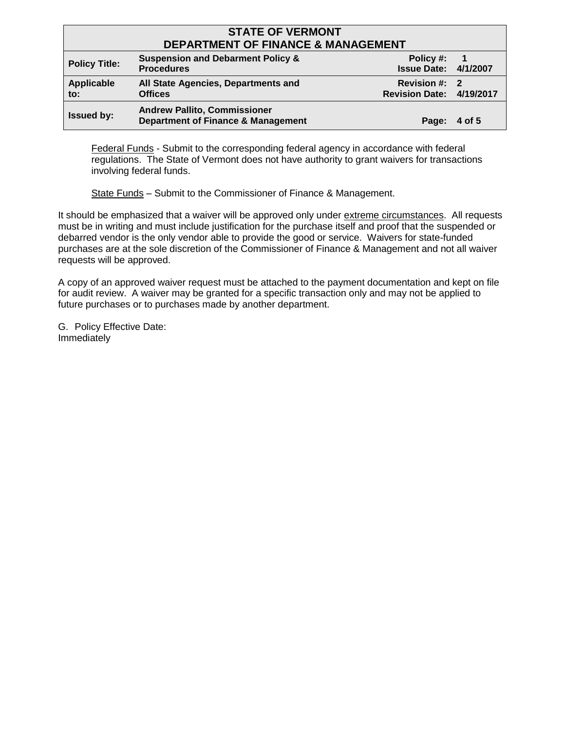| <b>STATE OF VERMONT</b>                       |                                                                                      |                                           |             |
|-----------------------------------------------|--------------------------------------------------------------------------------------|-------------------------------------------|-------------|
| <b>DEPARTMENT OF FINANCE &amp; MANAGEMENT</b> |                                                                                      |                                           |             |
| <b>Policy Title:</b>                          | <b>Suspension and Debarment Policy &amp;</b><br><b>Procedures</b>                    | Policy #:<br><b>Issue Date: 4/1/2007</b>  | $\mathbf 1$ |
| Applicable<br>to:                             | All State Agencies, Departments and<br><b>Offices</b>                                | Revision #: 2<br>Revision Date: 4/19/2017 |             |
| <b>Issued by:</b>                             | <b>Andrew Pallito, Commissioner</b><br><b>Department of Finance &amp; Management</b> | Page:                                     | 4 of 5      |

Federal Funds - Submit to the corresponding federal agency in accordance with federal regulations. The State of Vermont does not have authority to grant waivers for transactions involving federal funds.

State Funds – Submit to the Commissioner of Finance & Management.

It should be emphasized that a waiver will be approved only under extreme circumstances. All requests must be in writing and must include justification for the purchase itself and proof that the suspended or debarred vendor is the only vendor able to provide the good or service. Waivers for state-funded purchases are at the sole discretion of the Commissioner of Finance & Management and not all waiver requests will be approved.

A copy of an approved waiver request must be attached to the payment documentation and kept on file for audit review. A waiver may be granted for a specific transaction only and may not be applied to future purchases or to purchases made by another department.

G. Policy Effective Date: Immediately